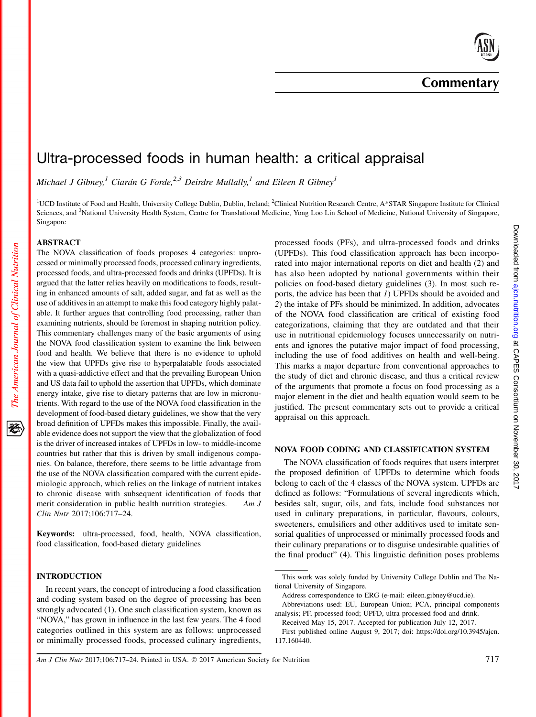

Michael J Gibney,<sup>1</sup> Ciarán G Forde,<sup>2,3</sup> Deirdre Mullally,<sup>1</sup> and Eileen R Gibney<sup>1</sup>

<sup>1</sup>UCD Institute of Food and Health, University College Dublin, Dublin, Ireland; <sup>2</sup>Clinical Nutrition Research Centre, A\*STAR Singapore Institute for Clinical Sciences, and <sup>3</sup>National University Health System, Centre for Translational Medicine, Yong Loo Lin School of Medicine, National University of Singapore, Singapore

#### ABSTRACT

The NOVA classification of foods proposes 4 categories: unprocessed or minimally processed foods, processed culinary ingredients, processed foods, and ultra-processed foods and drinks (UPFDs). It is argued that the latter relies heavily on modifications to foods, resulting in enhanced amounts of salt, added sugar, and fat as well as the use of additives in an attempt to make this food category highly palatable. It further argues that controlling food processing, rather than examining nutrients, should be foremost in shaping nutrition policy. This commentary challenges many of the basic arguments of using the NOVA food classification system to examine the link between food and health. We believe that there is no evidence to uphold the view that UPFDs give rise to hyperpalatable foods associated with a quasi-addictive effect and that the prevailing European Union and US data fail to uphold the assertion that UPFDs, which dominate energy intake, give rise to dietary patterns that are low in micronutrients. With regard to the use of the NOVA food classification in the development of food-based dietary guidelines, we show that the very broad definition of UPFDs makes this impossible. Finally, the available evidence does not support the view that the globalization of food is the driver of increased intakes of UPFDs in low- to middle-income countries but rather that this is driven by small indigenous companies. On balance, therefore, there seems to be little advantage from the use of the NOVA classification compared with the current epidemiologic approach, which relies on the linkage of nutrient intakes to chronic disease with subsequent identification of foods that merit consideration in public health nutrition strategies. Am J Clin Nutr 2017;106:717–24.

Keywords: ultra-processed, food, health, NOVA classification, food classification, food-based dietary guidelines

### INTRODUCTION

In recent years, the concept of introducing a food classification and coding system based on the degree of processing has been strongly advocated (1). One such classification system, known as "NOVA," has grown in influence in the last few years. The 4 food categories outlined in this system are as follows: unprocessed or minimally processed foods, processed culinary ingredients,

processed foods (PFs), and ultra-processed foods and drinks (UPFDs). This food classification approach has been incorporated into major international reports on diet and health (2) and has also been adopted by national governments within their policies on food-based dietary guidelines (3). In most such reports, the advice has been that 1) UPFDs should be avoided and 2) the intake of PFs should be minimized. In addition, advocates of the NOVA food classification are critical of existing food categorizations, claiming that they are outdated and that their use in nutritional epidemiology focuses unnecessarily on nutrients and ignores the putative major impact of food processing, including the use of food additives on health and well-being. This marks a major departure from conventional approaches to the study of diet and chronic disease, and thus a critical review of the arguments that promote a focus on food processing as a major element in the diet and health equation would seem to be justified. The present commentary sets out to provide a critical appraisal on this approach.

## NOVA FOOD CODING AND CLASSIFICATION SYSTEM

The NOVA classification of foods requires that users interpret the proposed definition of UPFDs to determine which foods belong to each of the 4 classes of the NOVA system. UPFDs are defined as follows: "Formulations of several ingredients which, besides salt, sugar, oils, and fats, include food substances not used in culinary preparations, in particular, flavours, colours, sweeteners, emulsifiers and other additives used to imitate sensorial qualities of unprocessed or minimally processed foods and their culinary preparations or to disguise undesirable qualities of the final product" (4). This linguistic definition poses problems

Am J Clin Nutr 2017;106:717–24. Printed in USA. © 2017 American Society for Nutrition 717

This work was solely funded by University College Dublin and The National University of Singapore.

[Address correspondence to ERG \(e-mail: eileen.gibney@ucd.ie\).](mailto:Address correspondence to ERG (e-mail: eileen.gibney@ucd.ie).)

Abbreviations used: EU, European Union; PCA, principal components analysis; PF, processed food; UPFD, ultra-processed food and drink.

Received May 15, 2017. Accepted for publication July 12, 2017. First published online August 9, 2017; [doi: https://doi.org/10.3945/ajcn.](https://doi.org/10.3945/ajcn.117.160440)

[<sup>117.160440.</sup>](https://doi.org/10.3945/ajcn.117.160440)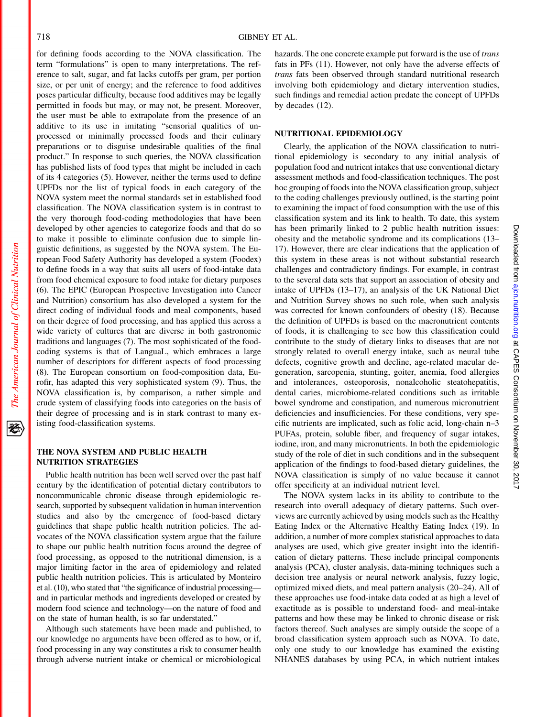The American Journal of Clinical Nutrition

资

for defining foods according to the NOVA classification. The term "formulations" is open to many interpretations. The reference to salt, sugar, and fat lacks cutoffs per gram, per portion size, or per unit of energy; and the reference to food additives poses particular difficulty, because food additives may be legally permitted in foods but may, or may not, be present. Moreover, the user must be able to extrapolate from the presence of an additive to its use in imitating "sensorial qualities of unprocessed or minimally processed foods and their culinary preparations or to disguise undesirable qualities of the final product." In response to such queries, the NOVA classification has published lists of food types that might be included in each of its 4 categories (5). However, neither the terms used to define UPFDs nor the list of typical foods in each category of the NOVA system meet the normal standards set in established food classification. The NOVA classification system is in contrast to the very thorough food-coding methodologies that have been developed by other agencies to categorize foods and that do so to make it possible to eliminate confusion due to simple linguistic definitions, as suggested by the NOVA system. The European Food Safety Authority has developed a system (Foodex) to define foods in a way that suits all users of food-intake data from food chemical exposure to food intake for dietary purposes (6). The EPIC (European Prospective Investigation into Cancer and Nutrition) consortium has also developed a system for the direct coding of individual foods and meal components, based on their degree of food processing, and has applied this across a wide variety of cultures that are diverse in both gastronomic traditions and languages (7). The most sophisticated of the foodcoding systems is that of LanguaL, which embraces a large number of descriptors for different aspects of food processing (8). The European consortium on food-composition data, Eurofir, has adapted this very sophisticated system (9). Thus, the NOVA classification is, by comparison, a rather simple and crude system of classifying foods into categories on the basis of their degree of processing and is in stark contrast to many existing food-classification systems.

# THE NOVA SYSTEM AND PUBLIC HEALTH NUTRITION STRATEGIES

Public health nutrition has been well served over the past half century by the identification of potential dietary contributors to noncommunicable chronic disease through epidemiologic research, supported by subsequent validation in human intervention studies and also by the emergence of food-based dietary guidelines that shape public health nutrition policies. The advocates of the NOVA classification system argue that the failure to shape our public health nutrition focus around the degree of food processing, as opposed to the nutritional dimension, is a major limiting factor in the area of epidemiology and related public health nutrition policies. This is articulated by Monteiro et al. (10), who stated that "the significance of industrial processing and in particular methods and ingredients developed or created by modern food science and technology—on the nature of food and on the state of human health, is so far understated."

Although such statements have been made and published, to our knowledge no arguments have been offered as to how, or if, food processing in any way constitutes a risk to consumer health through adverse nutrient intake or chemical or microbiological

hazards. The one concrete example put forward is the use of trans fats in PFs (11). However, not only have the adverse effects of trans fats been observed through standard nutritional research involving both epidemiology and dietary intervention studies, such findings and remedial action predate the concept of UPFDs by decades (12).

## NUTRITIONAL EPIDEMIOLOGY

Clearly, the application of the NOVA classification to nutritional epidemiology is secondary to any initial analysis of population food and nutrient intakes that use conventional dietary assessment methods and food-classification techniques. The post hoc grouping of foods into the NOVA classification group, subject to the coding challenges previously outlined, is the starting point to examining the impact of food consumption with the use of this classification system and its link to health. To date, this system has been primarily linked to 2 public health nutrition issues: obesity and the metabolic syndrome and its complications (13– 17). However, there are clear indications that the application of this system in these areas is not without substantial research challenges and contradictory findings. For example, in contrast to the several data sets that support an association of obesity and intake of UPFDs (13–17), an analysis of the UK National Diet and Nutrition Survey shows no such role, when such analysis was corrected for known confounders of obesity (18). Because the definition of UPFDs is based on the macronutrient contents of foods, it is challenging to see how this classification could contribute to the study of dietary links to diseases that are not strongly related to overall energy intake, such as neural tube defects, cognitive growth and decline, age-related macular degeneration, sarcopenia, stunting, goiter, anemia, food allergies and intolerances, osteoporosis, nonalcoholic steatohepatitis, dental caries, microbiome-related conditions such as irritable bowel syndrome and constipation, and numerous micronutrient deficiencies and insufficiencies. For these conditions, very specific nutrients are implicated, such as folic acid, long-chain n–3 PUFAs, protein, soluble fiber, and frequency of sugar intakes, iodine, iron, and many micronutrients. In both the epidemiologic study of the role of diet in such conditions and in the subsequent application of the findings to food-based dietary guidelines, the NOVA classification is simply of no value because it cannot offer specificity at an individual nutrient level.

The NOVA system lacks in its ability to contribute to the research into overall adequacy of dietary patterns. Such overviews are currently achieved by using models such as the Healthy Eating Index or the Alternative Healthy Eating Index (19). In addition, a number of more complex statistical approaches to data analyses are used, which give greater insight into the identification of dietary patterns. These include principal components analysis (PCA), cluster analysis, data-mining techniques such a decision tree analysis or neural network analysis, fuzzy logic, optimized mixed diets, and meal pattern analysis (20–24). All of these approaches use food-intake data coded at as high a level of exactitude as is possible to understand food- and meal-intake patterns and how these may be linked to chronic disease or risk factors thereof. Such analyses are simply outside the scope of a broad classification system approach such as NOVA. To date, only one study to our knowledge has examined the existing NHANES databases by using PCA, in which nutrient intakes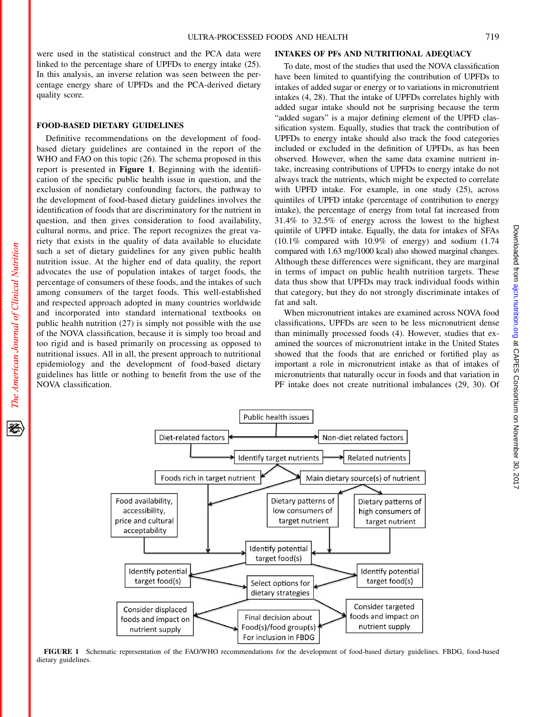# FOOD-BASED DIETARY GUIDELINES

Definitive recommendations on the development of foodbased dietary guidelines are contained in the report of the WHO and FAO on this topic  $(26)$ . The schema proposed in this report is presented in Figure 1. Beginning with the identification of the specific public health issue in question, and the exclusion of nondietary confounding factors, the pathway to the development of food-based dietary guidelines involves the identification of foods that are discriminatory for the nutrient in question, and then gives consideration to food availability, cultural norms, and price. The report recognizes the great variety that exists in the quality of data available to elucidate such a set of dietary guidelines for any given public health nutrition issue. At the higher end of data quality, the report advocates the use of population intakes of target foods, the percentage of consumers of these foods, and the intakes of such among consumers of the target foods. This well-established and respected approach adopted in many countries worldwide and incorporated into standard international textbooks on public health nutrition (27) is simply not possible with the use of the NOVA classification, because it is simply too broad and too rigid and is based primarily on processing as opposed to nutritional issues. All in all, the present approach to nutritional epidemiology and the development of food-based dietary guidelines has little or nothing to benefit from the use of the NOVA classification.

## INTAKES OF PFs AND NUTRITIONAL ADEQUACY

To date, most of the studies that used the NOVA classification have been limited to quantifying the contribution of UPFDs to intakes of added sugar or energy or to variations in micronutrient intakes (4, 28). That the intake of UPFDs correlates highly with added sugar intake should not be surprising because the term "added sugars" is a major defining element of the UPFD classification system. Equally, studies that track the contribution of UPFDs to energy intake should also track the food categories included or excluded in the definition of UPFDs, as has been observed. However, when the same data examine nutrient intake, increasing contributions of UPFDs to energy intake do not always track the nutrients, which might be expected to correlate with UPFD intake. For example, in one study (25), across quintiles of UPFD intake (percentage of contribution to energy intake), the percentage of energy from total fat increased from 31.4% to 32.5% of energy across the lowest to the highest quintile of UPFD intake. Equally, the data for intakes of SFAs (10.1% compared with 10.9% of energy) and sodium (1.74 compared with 1.63 mg/1000 kcal) also showed marginal changes. Although these differences were significant, they are marginal in terms of impact on public health nutrition targets. These data thus show that UPFDs may track individual foods within that category, but they do not strongly discriminate intakes of fat and salt.

When micronutrient intakes are examined across NOVA food classifications, UPFDs are seen to be less micronutrient dense than minimally processed foods (4). However, studies that examined the sources of micronutrient intake in the United States showed that the foods that are enriched or fortified play as important a role in micronutrient intake as that of intakes of micronutrients that naturally occur in foods and that variation in PF intake does not create nutritional imbalances (29, 30). Of



FIGURE 1 Schematic representation of the FAO/WHO recommendations for the development of food-based dietary guidelines. FBDG, food-based dietary guidelines.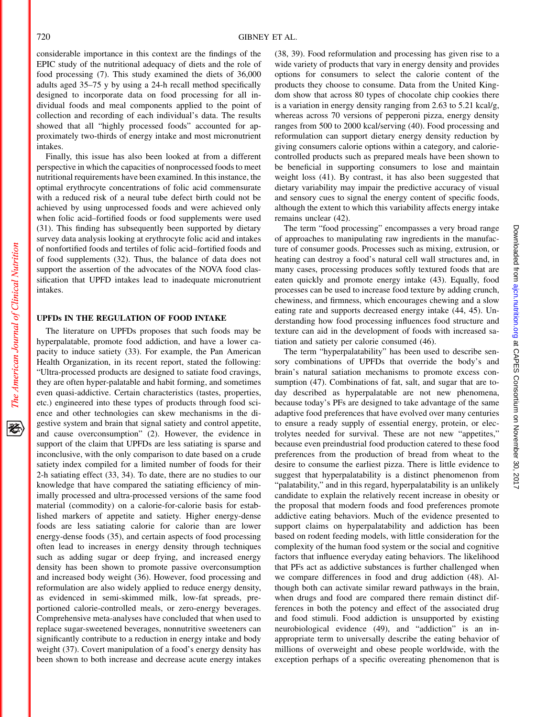considerable importance in this context are the findings of the EPIC study of the nutritional adequacy of diets and the role of food processing (7). This study examined the diets of 36,000 adults aged 35–75 y by using a 24-h recall method specifically designed to incorporate data on food processing for all individual foods and meal components applied to the point of collection and recording of each individual's data. The results showed that all "highly processed foods" accounted for approximately two-thirds of energy intake and most micronutrient intakes.

Finally, this issue has also been looked at from a different perspective in which the capacities of nonprocessed foods to meet nutritional requirements have been examined. In this instance, the optimal erythrocyte concentrations of folic acid commensurate with a reduced risk of a neural tube defect birth could not be achieved by using unprocessed foods and were achieved only when folic acid–fortified foods or food supplements were used (31). This finding has subsequently been supported by dietary survey data analysis looking at erythrocyte folic acid and intakes of nonfortified foods and tertiles of folic acid–fortified foods and of food supplements (32). Thus, the balance of data does not support the assertion of the advocates of the NOVA food classification that UPFD intakes lead to inadequate micronutrient intakes.

## UPFDs IN THE REGULATION OF FOOD INTAKE

The literature on UPFDs proposes that such foods may be hyperpalatable, promote food addiction, and have a lower capacity to induce satiety (33). For example, the Pan American Health Organization, in its recent report, stated the following: "Ultra-processed products are designed to satiate food cravings, they are often hyper-palatable and habit forming, and sometimes even quasi-addictive. Certain characteristics (tastes, properties, etc.) engineered into these types of products through food science and other technologies can skew mechanisms in the digestive system and brain that signal satiety and control appetite, and cause overconsumption" (2). However, the evidence in support of the claim that UPFDs are less satiating is sparse and inconclusive, with the only comparison to date based on a crude satiety index compiled for a limited number of foods for their 2-h satiating effect (33, 34). To date, there are no studies to our knowledge that have compared the satiating efficiency of minimally processed and ultra-processed versions of the same food material (commodity) on a calorie-for-calorie basis for established markers of appetite and satiety. Higher energy-dense foods are less satiating calorie for calorie than are lower energy-dense foods (35), and certain aspects of food processing often lead to increases in energy density through techniques such as adding sugar or deep frying, and increased energy density has been shown to promote passive overconsumption and increased body weight (36). However, food processing and reformulation are also widely applied to reduce energy density, as evidenced in semi-skimmed milk, low-fat spreads, preportioned calorie-controlled meals, or zero-energy beverages. Comprehensive meta-analyses have concluded that when used to replace sugar-sweetened beverages, nonnutritive sweeteners can significantly contribute to a reduction in energy intake and body weight (37). Covert manipulation of a food's energy density has been shown to both increase and decrease acute energy intakes

(38, 39). Food reformulation and processing has given rise to a wide variety of products that vary in energy density and provides options for consumers to select the calorie content of the products they choose to consume. Data from the United Kingdom show that across 80 types of chocolate chip cookies there is a variation in energy density ranging from 2.63 to 5.21 kcal/g, whereas across 70 versions of pepperoni pizza, energy density ranges from 500 to 2000 kcal/serving (40). Food processing and reformulation can support dietary energy density reduction by giving consumers calorie options within a category, and caloriecontrolled products such as prepared meals have been shown to be beneficial in supporting consumers to lose and maintain weight loss (41). By contrast, it has also been suggested that dietary variability may impair the predictive accuracy of visual and sensory cues to signal the energy content of specific foods, although the extent to which this variability affects energy intake remains unclear (42).

The term "food processing" encompasses a very broad range of approaches to manipulating raw ingredients in the manufacture of consumer goods. Processes such as mixing, extrusion, or heating can destroy a food's natural cell wall structures and, in many cases, processing produces softly textured foods that are eaten quickly and promote energy intake (43). Equally, food processes can be used to increase food texture by adding crunch, chewiness, and firmness, which encourages chewing and a slow eating rate and supports decreased energy intake (44, 45). Understanding how food processing influences food structure and texture can aid in the development of foods with increased satiation and satiety per calorie consumed (46).

The term "hyperpalatability" has been used to describe sensory combinations of UPFDs that override the body's and brain's natural satiation mechanisms to promote excess consumption (47). Combinations of fat, salt, and sugar that are today described as hyperpalatable are not new phenomena, because today's PFs are designed to take advantage of the same adaptive food preferences that have evolved over many centuries to ensure a ready supply of essential energy, protein, or electrolytes needed for survival. These are not new "appetites," because even preindustrial food production catered to these food preferences from the production of bread from wheat to the desire to consume the earliest pizza. There is little evidence to suggest that hyperpalatability is a distinct phenomenon from "palatability," and in this regard, hyperpalatability is an unlikely candidate to explain the relatively recent increase in obesity or the proposal that modern foods and food preferences promote addictive eating behaviors. Much of the evidence presented to support claims on hyperpalatability and addiction has been based on rodent feeding models, with little consideration for the complexity of the human food system or the social and cognitive factors that influence everyday eating behaviors. The likelihood that PFs act as addictive substances is further challenged when we compare differences in food and drug addiction (48). Although both can activate similar reward pathways in the brain, when drugs and food are compared there remain distinct differences in both the potency and effect of the associated drug and food stimuli. Food addiction is unsupported by existing neurobiological evidence (49), and "addiction" is an inappropriate term to universally describe the eating behavior of millions of overweight and obese people worldwide, with the exception perhaps of a specific overeating phenomenon that is

The American Journal of Clinical Nutrition

经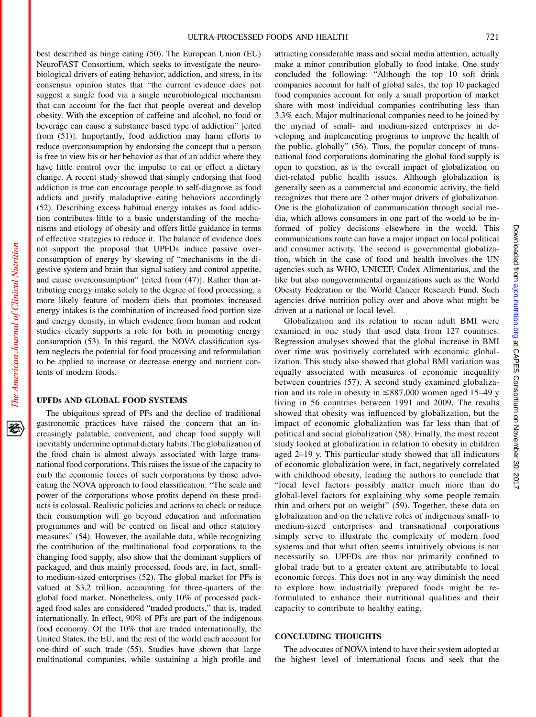best described as binge eating (50). The European Union (EU) NeuroFAST Consortium, which seeks to investigate the neurobiological drivers of eating behavior, addiction, and stress, in its consensus opinion states that "the current evidence does not suggest a single food via a single neurobiological mechanism that can account for the fact that people overeat and develop obesity. With the exception of caffeine and alcohol, no food or beverage can cause a substance based type of addiction" [cited from (51)]. Importantly, food addiction may harm efforts to reduce overconsumption by endorsing the concept that a person is free to view his or her behavior as that of an addict where they have little control over the impulse to eat or effect a dietary change. A recent study showed that simply endorsing that food addiction is true can encourage people to self-diagnose as food addicts and justify maladaptive eating behaviors accordingly (52). Describing excess habitual energy intakes as food addiction contributes little to a basic understanding of the mechanisms and etiology of obesity and offers little guidance in terms of effective strategies to reduce it. The balance of evidence does not support the proposal that UPFDs induce passive overconsumption of energy by skewing of "mechanisms in the digestive system and brain that signal satiety and control appetite, and cause overconsumption" [cited from (47)]. Rather than attributing energy intake solely to the degree of food processing, a more likely feature of modern diets that promotes increased energy intakes is the combination of increased food portion size and energy density, in which evidence from human and rodent studies clearly supports a role for both in promoting energy consumption (53). In this regard, the NOVA classification system neglects the potential for food processing and reformulation to be applied to increase or decrease energy and nutrient contents of modern foods.

# UPFDs AND GLOBAL FOOD SYSTEMS

The ubiquitous spread of PFs and the decline of traditional gastronomic practices have raised the concern that an increasingly palatable, convenient, and cheap food supply will inevitably undermine optimal dietary habits. The globalization of the food chain is almost always associated with large transnational food corporations. This raises the issue of the capacity to curb the economic forces of such corporations by those advocating the NOVA approach to food classification: "The scale and power of the corporations whose profits depend on these products is colossal. Realistic policies and actions to check or reduce their consumption will go beyond education and information programmes and will be centred on fiscal and other statutory measures" (54). However, the available data, while recognizing the contribution of the multinational food corporations to the changing food supply, also show that the dominant suppliers of packaged, and thus mainly processed, foods are, in fact, smallto medium-sized enterprises (52). The global market for PFs is valued at \$3.2 trillion, accounting for three-quarters of the global food market. Nonetheless, only 10% of processed packaged food sales are considered "traded products," that is, traded internationally. In effect, 90% of PFs are part of the indigenous food economy. Of the 10% that are traded internationally, the United States, the EU, and the rest of the world each account for one-third of such trade (55). Studies have shown that large multinational companies, while sustaining a high profile and

attracting considerable mass and social media attention, actually make a minor contribution globally to food intake. One study concluded the following: "Although the top 10 soft drink companies account for half of global sales, the top 10 packaged food companies account for only a small proportion of market share with most individual companies contributing less than 3.3% each. Major multinational companies need to be joined by the myriad of small- and medium-sized enterprises in developing and implementing programs to improve the health of the public, globally" (56). Thus, the popular concept of transnational food corporations dominating the global food supply is open to question, as is the overall impact of globalization on diet-related public health issues. Although globalization is generally seen as a commercial and economic activity, the field recognizes that there are 2 other major drivers of globalization. One is the globalization of communication through social media, which allows consumers in one part of the world to be informed of policy decisions elsewhere in the world. This communications route can have a major impact on local political and consumer activity. The second is governmental globalization, which in the case of food and health involves the UN agencies such as WHO, UNICEF, Codex Alimentarius, and the like but also nongovernmental organizations such as the World Obesity Federation or the World Cancer Research Fund. Such agencies drive nutrition policy over and above what might be driven at a national or local level.

Globalization and its relation to mean adult BMI were examined in one study that used data from 127 countries. Regression analyses showed that the global increase in BMI over time was positively correlated with economic globalization. This study also showed that global BMI variation was equally associated with measures of economic inequality between countries (57). A second study examined globalization and its role in obesity in  $\leq 887,000$  women aged 15–49 y living in 56 countries between 1991 and 2009. The results showed that obesity was influenced by globalization, but the impact of economic globalization was far less than that of political and social globalization (58). Finally, the most recent study looked at globalization in relation to obesity in children aged 2–19 y. This particular study showed that all indicators of economic globalization were, in fact, negatively correlated with childhood obesity, leading the authors to conclude that "local level factors possibly matter much more than do global-level factors for explaining why some people remain thin and others put on weight" (59). Together, these data on globalization and on the relative roles of indigenous small- to medium-sized enterprises and transnational corporations simply serve to illustrate the complexity of modern food systems and that what often seems intuitively obvious is not necessarily so. UPFDs are thus not primarily confined to global trade but to a greater extent are attributable to local economic forces. This does not in any way diminish the need to explore how industrially prepared foods might be reformulated to enhance their nutritional qualities and their capacity to contribute to healthy eating.

# CONCLUDING THOUGHTS

The advocates of NOVA intend to have their system adopted at the highest level of international focus and seek that the

资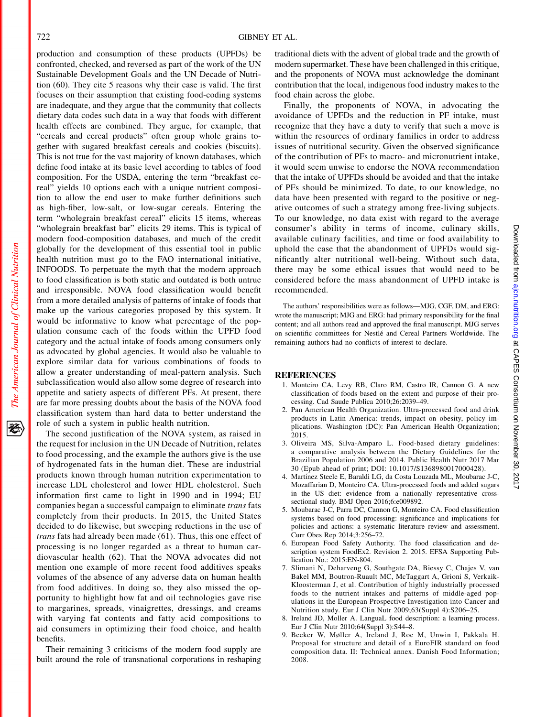production and consumption of these products (UPFDs) be confronted, checked, and reversed as part of the work of the UN Sustainable Development Goals and the UN Decade of Nutrition (60). They cite 5 reasons why their case is valid. The first focuses on their assumption that existing food-coding systems are inadequate, and they argue that the community that collects dietary data codes such data in a way that foods with different health effects are combined. They argue, for example, that "cereals and cereal products" often group whole grains together with sugared breakfast cereals and cookies (biscuits). This is not true for the vast majority of known databases, which define food intake at its basic level according to tables of food composition. For the USDA, entering the term "breakfast cereal" yields 10 options each with a unique nutrient composition to allow the end user to make further definitions such as high-fiber, low-salt, or low-sugar cereals. Entering the term "wholegrain breakfast cereal" elicits 15 items, whereas "wholegrain breakfast bar" elicits 29 items. This is typical of modern food-composition databases, and much of the credit globally for the development of this essential tool in public health nutrition must go to the FAO international initiative, INFOODS. To perpetuate the myth that the modern approach to food classification is both static and outdated is both untrue and irresponsible. NOVA food classification would benefit from a more detailed analysis of patterns of intake of foods that make up the various categories proposed by this system. It would be informative to know what percentage of the population consume each of the foods within the UPFD food category and the actual intake of foods among consumers only as advocated by global agencies. It would also be valuable to explore similar data for various combinations of foods to allow a greater understanding of meal-pattern analysis. Such subclassification would also allow some degree of research into appetite and satiety aspects of different PFs. At present, there are far more pressing doubts about the basis of the NOVA food classification system than hard data to better understand the role of such a system in public health nutrition.

The second justification of the NOVA system, as raised in the request for inclusion in the UN Decade of Nutrition, relates to food processing, and the example the authors give is the use of hydrogenated fats in the human diet. These are industrial products known through human nutrition experimentation to increase LDL cholesterol and lower HDL cholesterol. Such information first came to light in 1990 and in 1994; EU companies began a successful campaign to eliminate trans fats completely from their products. In 2015, the United States decided to do likewise, but sweeping reductions in the use of trans fats had already been made (61). Thus, this one effect of processing is no longer regarded as a threat to human cardiovascular health (62). That the NOVA advocates did not mention one example of more recent food additives speaks volumes of the absence of any adverse data on human health from food additives. In doing so, they also missed the opportunity to highlight how fat and oil technologies gave rise to margarines, spreads, vinaigrettes, dressings, and creams with varying fat contents and fatty acid compositions to aid consumers in optimizing their food choice, and health benefits.

Their remaining 3 criticisms of the modern food supply are built around the role of transnational corporations in reshaping

traditional diets with the advent of global trade and the growth of modern supermarket. These have been challenged in this critique, and the proponents of NOVA must acknowledge the dominant contribution that the local, indigenous food industry makes to the food chain across the globe.

Finally, the proponents of NOVA, in advocating the avoidance of UPFDs and the reduction in PF intake, must recognize that they have a duty to verify that such a move is within the resources of ordinary families in order to address issues of nutritional security. Given the observed significance of the contribution of PFs to macro- and micronutrient intake, it would seem unwise to endorse the NOVA recommendation that the intake of UPFDs should be avoided and that the intake of PFs should be minimized. To date, to our knowledge, no data have been presented with regard to the positive or negative outcomes of such a strategy among free-living subjects. To our knowledge, no data exist with regard to the average consumer's ability in terms of income, culinary skills, available culinary facilities, and time or food availability to uphold the case that the abandonment of UPFDs would significantly alter nutritional well-being. Without such data, there may be some ethical issues that would need to be considered before the mass abandonment of UPFD intake is recommended.

The authors' responsibilities were as follows—MJG, CGF, DM, and ERG: wrote the manuscript; MJG and ERG: had primary responsibility for the final content; and all authors read and approved the final manuscript. MJG serves on scientific committees for Nestlé and Cereal Partners Worldwide. The remaining authors had no conflicts of interest to declare.

#### **REFERENCES**

- 1. Monteiro CA, Levy RB, Claro RM, Castro IR, Cannon G. A new classification of foods based on the extent and purpose of their processing. Cad Saude Publica 2010;26:2039–49.
- 2. Pan American Health Organization. Ultra-processed food and drink products in Latin America: trends, impact on obesity, policy implications. Washington (DC): Pan American Health Organization; 2015.
- 3. Oliveira MS, Silva-Amparo L. Food-based dietary guidelines: a comparative analysis between the Dietary Guidelines for the Brazilian Population 2006 and 2014. Public Health Nutr 2017 Mar 30 (Epub ahead of print; DOI: 10.1017/S1368980017000428).
- 4. Martínez Steele E, Baraldi LG, da Costa Louzada ML, Moubarac J-C, Mozaffarian D, Monteiro CA. Ultra-processed foods and added sugars in the US diet: evidence from a nationally representative crosssectional study. BMJ Open 2016;6:e009892.
- 5. Moubarac J-C, Parra DC, Cannon G, Monteiro CA. Food classification systems based on food processing: significance and implications for policies and actions: a systematic literature review and assessment. Curr Obes Rep 2014;3:256–72.
- 6. European Food Safety Authority. The food classification and description system FoodEx2. Revision 2. 2015. EFSA Supporting Publication No.: 2015:EN-804.
- 7. Slimani N, Deharveng G, Southgate DA, Biessy C, Chajes V, van Bakel MM, Boutron-Ruault MC, McTaggart A, Grioni S, Verkaik-Kloosterman J, et al. Contribution of highly industrially processed foods to the nutrient intakes and patterns of middle-aged populations in the European Prospective Investigation into Cancer and Nutrition study. Eur J Clin Nutr 2009;63(Suppl 4):S206–25.
- 8. Ireland JD, Moller A. LanguaL food description: a learning process. Eur J Clin Nutr 2010;64(Suppl 3):S44–8.
- 9. Becker W, Møller A, Ireland J, Roe M, Unwin I, Pakkala H. Proposal for structure and detail of a EuroFIR standard on food composition data. II: Technical annex. Danish Food Information; 2008.

The American Journal of Clinical Nutrition

资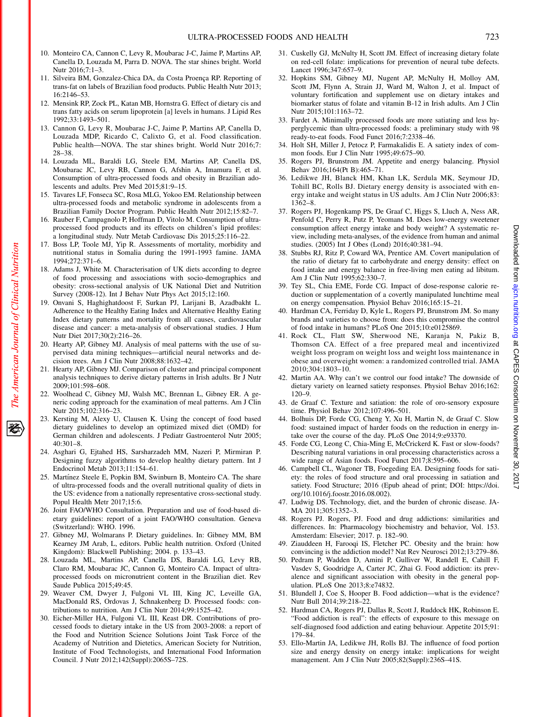- 10. Monteiro CA, Cannon C, Levy R, Moubarac J-C, Jaime P, Martins AP, Canella D, Louzada M, Parra D. NOVA. The star shines bright. World Nutr 2016;7:1–3.
- 11. Silveira BM, Gonzalez-Chica DA, da Costa Proença RP. Reporting of trans-fat on labels of Brazilian food products. Public Health Nutr 2013; 16:2146–53.
- 12. Mensink RP, Zock PL, Katan MB, Hornstra G. Effect of dietary cis and trans fatty acids on serum lipoprotein [a] levels in humans. J Lipid Res 1992;33:1493–501.
- 13. Cannon G, Levy R, Moubarac J-C, Jaime P, Martins AP, Canella D, Louzada MDP, Ricardo C, Calixto G, et al. Food classification. Public health—NOVA. The star shines bright. World Nutr 2016;7: 28–38.
- 14. Louzada ML, Baraldi LG, Steele EM, Martins AP, Canella DS, Moubarac JC, Levy RB, Cannon G, Afshin A, Imamura F, et al. Consumption of ultra-processed foods and obesity in Brazilian adolescents and adults. Prev Med 2015;81:9–15.
- 15. Tavares LF, Fonseca SC, Rosa MLG, Yokoo EM. Relationship between ultra-processed foods and metabolic syndrome in adolescents from a Brazilian Family Doctor Program. Public Health Nutr 2012;15:82–7.
- 16. Rauber F, Campagnolo P, Hoffman D, Vitolo M. Consumption of ultraprocessed food products and its effects on children's lipid profiles: a longitudinal study. Nutr Metab Cardiovasc Dis 2015;25:116–22.
- 17. Boss LP, Toole MJ, Yip R. Assessments of mortality, morbidity and nutritional status in Somalia during the 1991-1993 famine. JAMA 1994;272:371–6.
- 18. Adams J, White M. Characterisation of UK diets according to degree of food processing and associations with socio-demographics and obesity: cross-sectional analysis of UK National Diet and Nutrition Survey (2008-12). Int J Behav Nutr Phys Act 2015;12:160.
- 19. Onvani S, Haghighatdoost F, Surkan PJ, Larijani B, Azadbakht L. Adherence to the Healthy Eating Index and Alternative Healthy Eating Index dietary patterns and mortality from all causes, cardiovascular disease and cancer: a meta-analysis of observational studies. J Hum Nutr Diet 2017;30(2):216–26.
- 20. Hearty AP, Gibney MJ. Analysis of meal patterns with the use of supervised data mining techniques—artificial neural networks and decision trees. Am J Clin Nutr 2008;88:1632–42.
- 21. Hearty AP, Gibney MJ. Comparison of cluster and principal component analysis techniques to derive dietary patterns in Irish adults. Br J Nutr 2009;101:598–608.
- 22. Woolhead C, Gibney MJ, Walsh MC, Brennan L, Gibney ER. A generic coding approach for the examination of meal patterns. Am J Clin Nutr 2015;102:316–23.
- 23. Kersting M, Alexy U, Clausen K. Using the concept of food based dietary guidelines to develop an optimized mixed diet (OMD) for German children and adolescents. J Pediatr Gastroenterol Nutr 2005; 40:301–8.
- 24. Asghari G, Ejtahed HS, Sarsharzadeh MM, Nazeri P, Mirmiran P. Designing fuzzy algorithms to develop healthy dietary pattern. Int J Endocrinol Metab 2013;11:154–61.
- 25. Martínez Steele E, Popkin BM, Swinburn B, Monteiro CA. The share of ultra-processed foods and the overall nutritional quality of diets in the US: evidence from a nationally representative cross-sectional study. Popul Health Metr 2017;15:6.
- 26. Joint FAO/WHO Consultation. Preparation and use of food-based dietary guidelines: report of a joint FAO/WHO consultation. Geneva (Switzerland): WHO. 1996.
- 27. Gibney MJ, Wolmarans P. Dietary guidelines. In: Gibney MM, BM Kearney JM Arab, L, editors. Public health nutrition. Oxford (United Kingdom): Blackwell Publishing; 2004. p. 133–43.
- 28. Louzada ML, Martins AP, Canella DS, Baraldi LG, Levy RB, Claro RM, Moubarac JC, Cannon G, Monteiro CA. Impact of ultraprocessed foods on micronutrient content in the Brazilian diet. Rev Saude Publica 2015;49:45.
- 29. Weaver CM, Dwyer J, Fulgoni VL III, King JC, Leveille GA, MacDonald RS, Ordovas J, Schnakenberg D. Processed foods: contributions to nutrition. Am J Clin Nutr 2014;99:1525–42.
- 30. Eicher-Miller HA, Fulgoni VL III, Keast DR. Contributions of processed foods to dietary intake in the US from 2003-2008: a report of the Food and Nutrition Science Solutions Joint Task Force of the Academy of Nutrition and Dietetics, American Society for Nutrition, Institute of Food Technologists, and International Food Information Council. J Nutr 2012;142(Suppl):2065S–72S.
- 31. Cuskelly GJ, McNulty H, Scott JM. Effect of increasing dietary folate on red-cell folate: implications for prevention of neural tube defects. Lancet 1996;347:657–9.
- 32. Hopkins SM, Gibney MJ, Nugent AP, McNulty H, Molloy AM, Scott JM, Flynn A, Strain JJ, Ward M, Walton J, et al. Impact of voluntary fortification and supplement use on dietary intakes and biomarker status of folate and vitamin B-12 in Irish adults. Am J Clin Nutr 2015;101:1163–72.
- 33. Fardet A. Minimally processed foods are more satiating and less hyperglycemic than ultra-processed foods: a preliminary study with 98 ready-to-eat foods. Food Funct 2016;7:2338–46.
- 34. Holt SH, Miller J, Petocz P, Farmakalidis E. A satiety index of common foods. Eur J Clin Nutr 1995;49:675–90.
- 35. Rogers PJ, Brunstrom JM. Appetite and energy balancing. Physiol Behav 2016;164(Pt B):465–71.
- 36. Ledikwe JH, Blanck HM, Khan LK, Serdula MK, Seymour JD, Tohill BC, Rolls BJ. Dietary energy density is associated with energy intake and weight status in US adults. Am J Clin Nutr 2006;83: 1362–8.
- 37. Rogers PJ, Hogenkamp PS, De Graaf C, Higgs S, Lluch A, Ness AR, Penfold C, Perry R, Putz P, Yeomans M. Does low-energy sweetener consumption affect energy intake and body weight? A systematic review, including meta-analyses, of the evidence from human and animal studies. (2005) Int J Obes (Lond) 2016;40:381–94.
- 38. Stubbs RJ, Ritz P, Coward WA, Prentice AM. Covert manipulation of the ratio of dietary fat to carbohydrate and energy density: effect on food intake and energy balance in free-living men eating ad libitum. Am J Clin Nutr 1995;62:330–7.
- 39. Tey SL, Chia EME, Forde CG. Impact of dose-response calorie reduction or supplementation of a covertly manipulated lunchtime meal on energy compensation. Physiol Behav 2016;165:15–21.
- 40. Hardman CA, Ferriday D, Kyle L, Rogers PJ, Brunstrom JM. So many brands and varieties to choose from: does this compromise the control of food intake in humans? PLoS One 2015;10:e0125869.
- 41. Rock CL, Flatt SW, Sherwood NE, Karanja N, Pakiz B, Thomson CA. Effect of a free prepared meal and incentivized weight loss program on weight loss and weight loss maintenance in obese and overweight women: a randomized controlled trial. JAMA 2010;304:1803–10.
- 42. Martin AA. Why can't we control our food intake? The downside of dietary variety on learned satiety responses. Physiol Behav 2016;162: 120–9.
- 43. de Graaf C. Texture and satiation: the role of oro-sensory exposure time. Physiol Behav 2012;107:496–501.
- 44. Bolhuis DP, Forde CG, Cheng Y, Xu H, Martin N, de Graaf C. Slow food: sustained impact of harder foods on the reduction in energy intake over the course of the day. PLoS One 2014;9:e93370.
- 45. Forde CG, Leong C, Chia-Ming E, McCrickerd K. Fast or slow-foods? Describing natural variations in oral processing characteristics across a wide range of Asian foods. Food Funct 2017;8:595–606.
- 46. Campbell CL, Wagoner TB, Foegeding EA. Designing foods for satiety: the roles of food structure and oral processing in satiation and satiety. Food Structure; 2016 (Epub ahead of print; DOI: https://doi. org/10.1016/j.foostr.2016.08.002).
- 47. Ludwig DS. Technology, diet, and the burden of chronic disease. JA-MA 2011;305:1352–3.
- 48. Rogers PJ. Rogers, PJ. Food and drug addictions: similarities and differences. In: Pharmacology biochemistry and behavior, Vol. 153. Amsterdam: Elsevier; 2017. p. 182–90.
- 49. Ziauddeen H, Farooqi IS, Fletcher PC. Obesity and the brain: how convincing is the addiction model? Nat Rev Neurosci 2012;13:279–86.
- 50. Pedram P, Wadden D, Amini P, Gulliver W, Randell E, Cahill F, Vasdev S, Goodridge A, Carter JC, Zhai G. Food addiction: its prevalence and significant association with obesity in the general population. PLoS One 2013;8:e74832.
- 51. Blundell J, Coe S, Hooper B. Food addiction—what is the evidence? Nutr Bull 2014;39:218–22.
- 52. Hardman CA, Rogers PJ, Dallas R, Scott J, Ruddock HK, Robinson E. "Food addiction is real": the effects of exposure to this message on self-diagnosed food addiction and eating behaviour. Appetite 2015;91: 179–84.
- 53. Ello-Martin JA, Ledikwe JH, Rolls BJ. The influence of food portion size and energy density on energy intake: implications for weight management. Am J Clin Nutr 2005;82(Suppl):236S–41S.

移